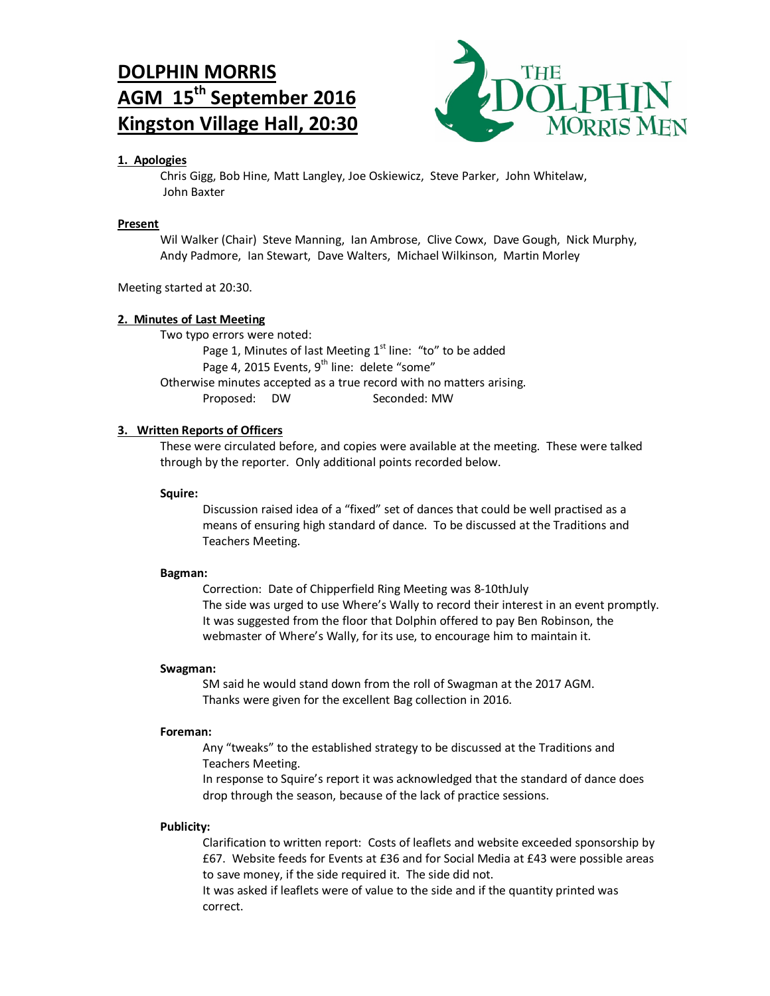# **DOLPHIN MORRIS AGM 15th September 2016 Kingston Village Hall, 20:30**



## **1. Apologies**

 Chris Gigg, Bob Hine, Matt Langley, Joe Oskiewicz, Steve Parker, John Whitelaw, John Baxter

#### **Present**

Wil Walker (Chair) Steve Manning, Ian Ambrose, Clive Cowx, Dave Gough, Nick Murphy, Andy Padmore, Ian Stewart, Dave Walters, Michael Wilkinson, Martin Morley

Meeting started at 20:30.

## **2. Minutes of Last Meeting**

Two typo errors were noted: Page 1, Minutes of last Meeting  $1<sup>st</sup>$  line: "to" to be added Page 4, 2015 Events, 9<sup>th</sup> line: delete "some" Otherwise minutes accepted as a true record with no matters arising. Proposed: DW Seconded: MW

## **3. Written Reports of Officers**

These were circulated before, and copies were available at the meeting. These were talked through by the reporter. Only additional points recorded below.

## **Squire:**

Discussion raised idea of a "fixed" set of dances that could be well practised as a means of ensuring high standard of dance. To be discussed at the Traditions and Teachers Meeting.

#### **Bagman:**

Correction: Date of Chipperfield Ring Meeting was 8-10thJuly The side was urged to use Where's Wally to record their interest in an event promptly. It was suggested from the floor that Dolphin offered to pay Ben Robinson, the webmaster of Where's Wally, for its use, to encourage him to maintain it.

#### **Swagman:**

SM said he would stand down from the roll of Swagman at the 2017 AGM. Thanks were given for the excellent Bag collection in 2016.

#### **Foreman:**

Any "tweaks" to the established strategy to be discussed at the Traditions and Teachers Meeting.

In response to Squire's report it was acknowledged that the standard of dance does drop through the season, because of the lack of practice sessions.

#### **Publicity:**

Clarification to written report: Costs of leaflets and website exceeded sponsorship by £67. Website feeds for Events at £36 and for Social Media at £43 were possible areas to save money, if the side required it. The side did not.

It was asked if leaflets were of value to the side and if the quantity printed was correct.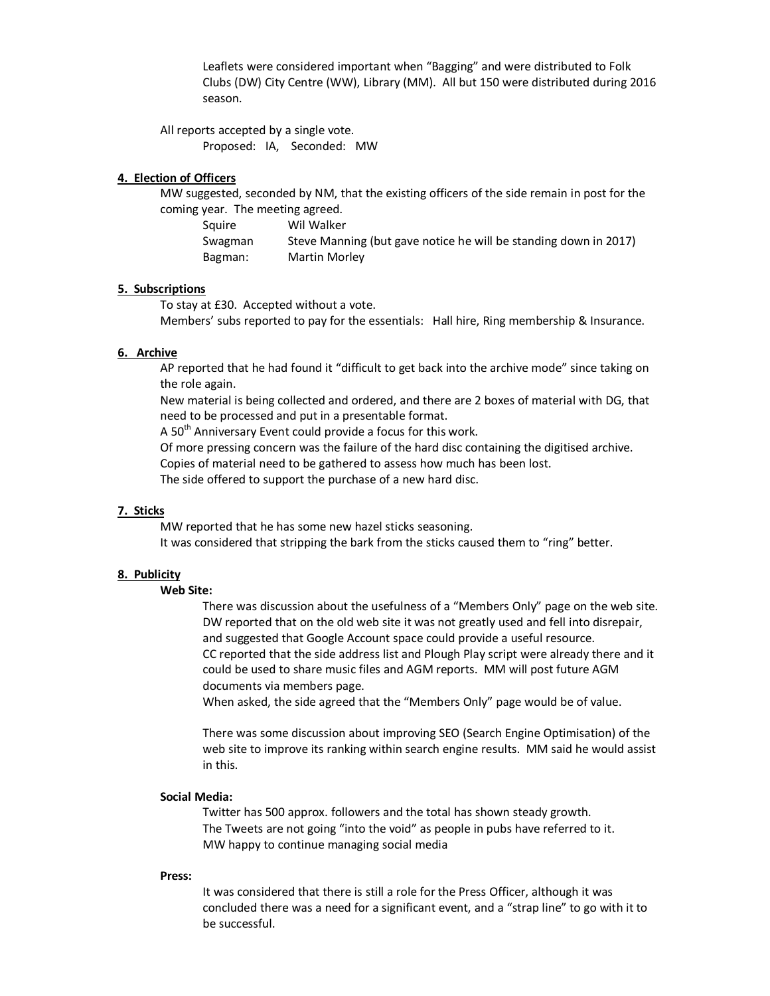Leaflets were considered important when "Bagging" and were distributed to Folk Clubs (DW) City Centre (WW), Library (MM). All but 150 were distributed during 2016 season.

All reports accepted by a single vote. Proposed: IA, Seconded: MW

## **4. Election of Officers**

MW suggested, seconded by NM, that the existing officers of the side remain in post for the coming year. The meeting agreed.

 Squire Wil Walker Swagman Steve Manning (but gave notice he will be standing down in 2017) Bagman: Martin Morley

### **5. Subscriptions**

To stay at £30. Accepted without a vote. Members' subs reported to pay for the essentials: Hall hire, Ring membership & Insurance.

#### **6. Archive**

AP reported that he had found it "difficult to get back into the archive mode" since taking on the role again.

New material is being collected and ordered, and there are 2 boxes of material with DG, that need to be processed and put in a presentable format.

A 50<sup>th</sup> Anniversary Event could provide a focus for this work.

Of more pressing concern was the failure of the hard disc containing the digitised archive.

Copies of material need to be gathered to assess how much has been lost.

The side offered to support the purchase of a new hard disc.

#### **7. Sticks**

MW reported that he has some new hazel sticks seasoning. It was considered that stripping the bark from the sticks caused them to "ring" better.

#### **8. Publicity**

## **Web Site:**

There was discussion about the usefulness of a "Members Only" page on the web site. DW reported that on the old web site it was not greatly used and fell into disrepair, and suggested that Google Account space could provide a useful resource. CC reported that the side address list and Plough Play script were already there and it could be used to share music files and AGM reports. MM will post future AGM documents via members page.

When asked, the side agreed that the "Members Only" page would be of value.

There was some discussion about improving SEO (Search Engine Optimisation) of the web site to improve its ranking within search engine results. MM said he would assist in this.

#### **Social Media:**

Twitter has 500 approx. followers and the total has shown steady growth. The Tweets are not going "into the void" as people in pubs have referred to it. MW happy to continue managing social media

#### **Press:**

It was considered that there is still a role for the Press Officer, although it was concluded there was a need for a significant event, and a "strap line" to go with it to be successful.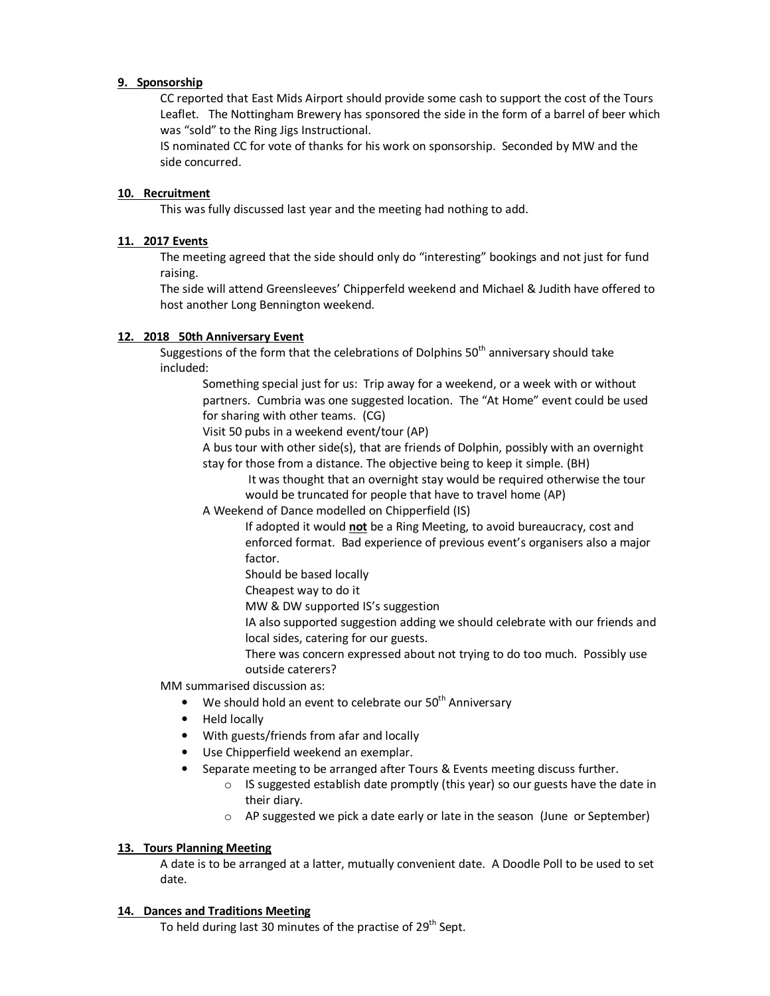## **9. Sponsorship**

CC reported that East Mids Airport should provide some cash to support the cost of the Tours Leaflet. The Nottingham Brewery has sponsored the side in the form of a barrel of beer which was "sold" to the Ring Jigs Instructional.

IS nominated CC for vote of thanks for his work on sponsorship. Seconded by MW and the side concurred.

#### 10. Recruitment

This was fully discussed last year and the meeting had nothing to add.

## **11. 2017 Events**

The meeting agreed that the side should only do "interesting" bookings and not just for fund raising.

The side will attend Greensleeves' Chipperfeld weekend and Michael & Judith have offered to host another Long Bennington weekend.

## **12. 2018 50th Anniversary Event**

Suggestions of the form that the celebrations of Dolphins  $50<sup>th</sup>$  anniversary should take included:

Something special just for us: Trip away for a weekend, or a week with or without partners. Cumbria was one suggested location. The "At Home" event could be used for sharing with other teams. (CG)

Visit 50 pubs in a weekend event/tour (AP)

A bus tour with other side(s), that are friends of Dolphin, possibly with an overnight stay for those from a distance. The objective being to keep it simple. (BH)

 It was thought that an overnight stay would be required otherwise the tour would be truncated for people that have to travel home (AP)

A Weekend of Dance modelled on Chipperfield (IS)

If adopted it would **not** be a Ring Meeting, to avoid bureaucracy, cost and enforced format. Bad experience of previous event's organisers also a major factor.

Should be based locally

Cheapest way to do it

MW & DW supported IS's suggestion

IA also supported suggestion adding we should celebrate with our friends and local sides, catering for our guests.

There was concern expressed about not trying to do too much. Possibly use outside caterers?

MM summarised discussion as:

- We should hold an event to celebrate our  $50<sup>th</sup>$  Anniversary
- Held locally
- With guests/friends from afar and locally
- Use Chipperfield weekend an exemplar.
- Separate meeting to be arranged after Tours & Events meeting discuss further.
	- o IS suggested establish date promptly (this year) so our guests have the date in their diary.
	- o AP suggested we pick a date early or late in the season (June or September)

#### **13. Tours Planning Meeting**

A date is to be arranged at a latter, mutually convenient date. A Doodle Poll to be used to set date.

## **14. Dances and Traditions Meeting**

To held during last 30 minutes of the practise of 29<sup>th</sup> Sept.